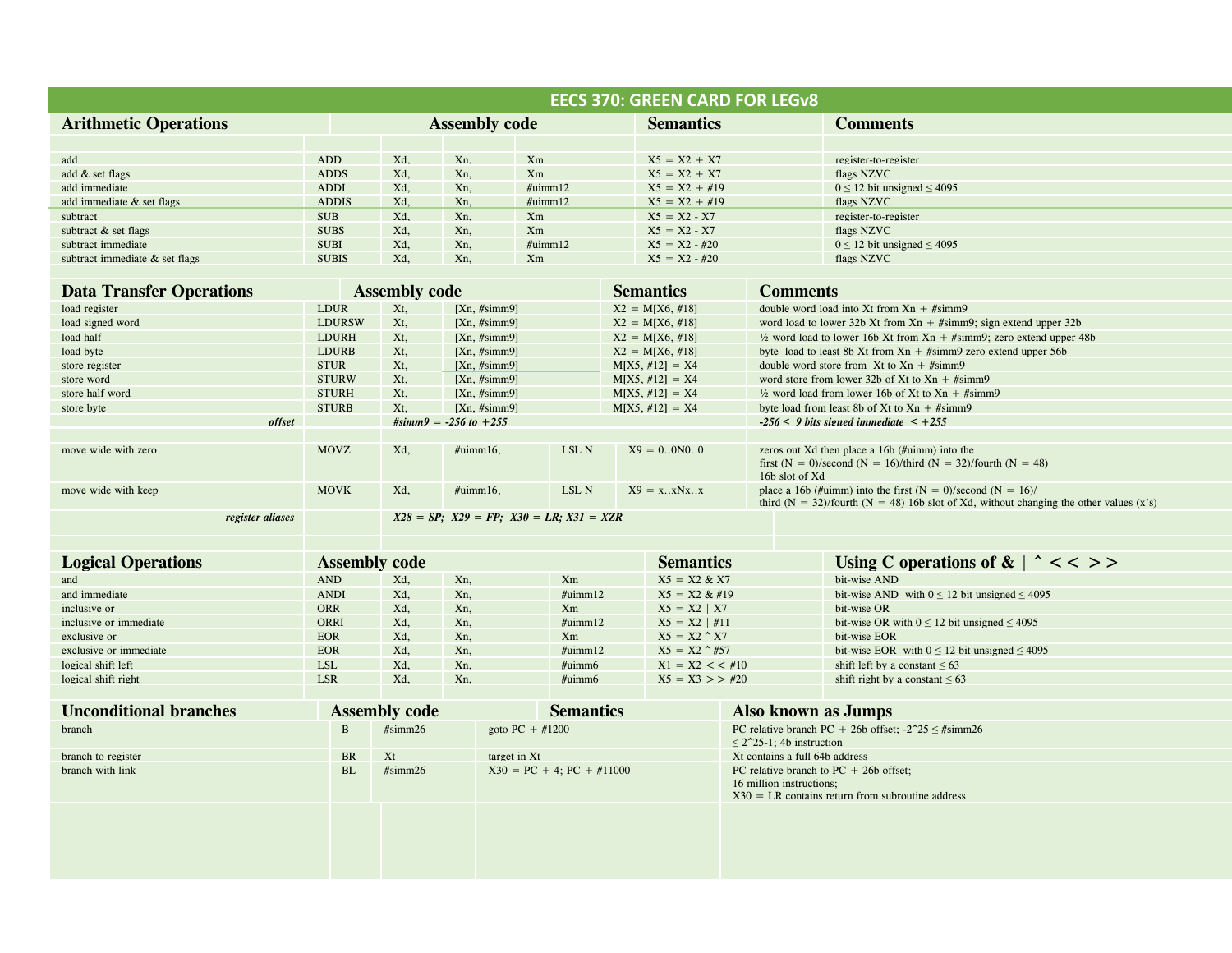| <b>EECS 370: GREEN CARD FOR LEGV8</b> |                      |                                                    |                                |                   |  |                                |                                                                                                    |                                                                                                                                             |                                                                                                                                                            |  |  |
|---------------------------------------|----------------------|----------------------------------------------------|--------------------------------|-------------------|--|--------------------------------|----------------------------------------------------------------------------------------------------|---------------------------------------------------------------------------------------------------------------------------------------------|------------------------------------------------------------------------------------------------------------------------------------------------------------|--|--|
| <b>Arithmetic Operations</b>          |                      | <b>Assembly code</b>                               |                                | <b>Semantics</b>  |  |                                |                                                                                                    | <b>Comments</b>                                                                                                                             |                                                                                                                                                            |  |  |
|                                       |                      |                                                    |                                |                   |  |                                |                                                                                                    |                                                                                                                                             |                                                                                                                                                            |  |  |
| add                                   | <b>ADD</b>           | Xd,                                                | Xn,                            | Xm                |  | $X5 = X2 + X7$                 |                                                                                                    |                                                                                                                                             | register-to-register                                                                                                                                       |  |  |
| add & set flags                       | <b>ADDS</b>          | Xd,                                                | Xn,                            | Xm                |  | $X5 = X2 + X7$                 |                                                                                                    |                                                                                                                                             | flags NZVC                                                                                                                                                 |  |  |
| add immediate                         | <b>ADDI</b>          | Xd,                                                | Xn,                            | $\#$ uimm $12$    |  | $X5 = X2 + #19$                |                                                                                                    |                                                                                                                                             | $0 \le 12$ bit unsigned $\le 4095$                                                                                                                         |  |  |
| add immediate & set flags             | <b>ADDIS</b>         | Xd.                                                | Xn.                            | $\#$ uimm $12$    |  | $X5 = X2 + #19$                |                                                                                                    |                                                                                                                                             | flags NZVC                                                                                                                                                 |  |  |
| subtract                              | <b>SUB</b>           | Xd,                                                | Xn,                            | Xm                |  | $X5 = X2 - X7$                 |                                                                                                    |                                                                                                                                             | register-to-register                                                                                                                                       |  |  |
| subtract & set flags                  | <b>SUBS</b>          | Xd,                                                | Xn,                            | Xm                |  | $X5 = X2 - X7$                 |                                                                                                    |                                                                                                                                             | flags NZVC                                                                                                                                                 |  |  |
| subtract immediate                    | <b>SUBI</b>          | Xd,                                                | Xn,                            | $\#$ uimm $12$    |  | $X5 = X2 - #20$                |                                                                                                    |                                                                                                                                             | $0 \le 12$ bit unsigned $\le 4095$                                                                                                                         |  |  |
| subtract immediate & set flags        | <b>SUBIS</b>         | Xd,                                                | Xn,                            | Xm                |  | $X5 = X2 - #20$                |                                                                                                    |                                                                                                                                             | flags NZVC                                                                                                                                                 |  |  |
|                                       |                      |                                                    |                                |                   |  |                                |                                                                                                    |                                                                                                                                             |                                                                                                                                                            |  |  |
| <b>Data Transfer Operations</b>       |                      | <b>Assembly code</b>                               |                                |                   |  | <b>Semantics</b>               |                                                                                                    | <b>Comments</b>                                                                                                                             |                                                                                                                                                            |  |  |
| load register                         | <b>LDUR</b>          | Xt.                                                | [Xn, #simm9]                   |                   |  | $X2 = M[X6, #18]$              |                                                                                                    |                                                                                                                                             | double word load into Xt from $Xn + #simm9$                                                                                                                |  |  |
| load signed word                      | <b>LDURSW</b>        | Xt.                                                | [Xn, #simm9]                   |                   |  | $X2 = M[X6, #18]$              |                                                                                                    | word load to lower 32b Xt from $Xn + #simm9$ ; sign extend upper 32b                                                                        |                                                                                                                                                            |  |  |
| load half                             | <b>LDURH</b>         | Xt,                                                | [Xn, #simm9]                   |                   |  | $X2 = M[X6, #18]$              |                                                                                                    | $\frac{1}{2}$ word load to lower 16b Xt from Xn + #simm9; zero extend upper 48b                                                             |                                                                                                                                                            |  |  |
| load byte                             | <b>LDURB</b>         | Xt.                                                | [Xn, #simm9]                   |                   |  | $X2 = M[X6, #18]$              |                                                                                                    | byte load to least 8b Xt from $Xn + \# \text{simm}9$ zero extend upper 56b                                                                  |                                                                                                                                                            |  |  |
| store register                        | <b>STUR</b>          | Xt.                                                | [Xn, #simm9]                   |                   |  | $M[X5, #12] = X4$              |                                                                                                    |                                                                                                                                             | double word store from Xt to $Xn + #simm9$                                                                                                                 |  |  |
| store word                            | <b>STURW</b>         | Xt,                                                | [Xn, #simm9]                   |                   |  | $M[X5, #12] = X4$              |                                                                                                    |                                                                                                                                             | word store from lower 32b of Xt to $Xn + #simm9$                                                                                                           |  |  |
| store half word                       | <b>STURH</b>         | Xt.                                                |                                | [Xn, #simm9]      |  | $M[X5, #12] = X4$              |                                                                                                    |                                                                                                                                             | $\frac{1}{2}$ word load from lower 16b of Xt to Xn + #simm9                                                                                                |  |  |
| store byte                            | <b>STURB</b>         | Xt.                                                | [Xn, #simm9]                   |                   |  | $M[X5, #12] = X4$              |                                                                                                    |                                                                                                                                             | byte load from least 8b of Xt to $Xn + #simm9$                                                                                                             |  |  |
| offset                                |                      | $#simm9 = -256 to +255$                            |                                |                   |  |                                |                                                                                                    |                                                                                                                                             | $-256 \leq 9$ bits signed immediate $\leq +255$                                                                                                            |  |  |
|                                       |                      |                                                    |                                |                   |  |                                |                                                                                                    |                                                                                                                                             |                                                                                                                                                            |  |  |
| move wide with zero                   | <b>MOVZ</b>          | Xd,                                                | $\#$ uimm $16$ ,               | LSL N             |  | $X9 = 0.0N0.0$                 |                                                                                                    | zeros out Xd then place a 16b (#uimm) into the<br>first $(N = 0)/$ second $(N = 16)/$ third $(N = 32)/$ fourth $(N = 48)$<br>16b slot of Xd |                                                                                                                                                            |  |  |
| move wide with keep                   | <b>MOVK</b>          | Xd,                                                | $\#$ uimm $16$ ,               | LSL N             |  | $X9 = x \cdot .x N x \cdot .x$ |                                                                                                    |                                                                                                                                             | place a 16b (#uimm) into the first $(N = 0)/$ second $(N = 16)/$<br>third (N = 32)/fourth (N = 48) 16b slot of Xd, without changing the other values (x's) |  |  |
| register aliases                      |                      | $X28 = SP$ ; $X29 = FP$ ; $X30 = LR$ ; $X31 = XZR$ |                                |                   |  |                                |                                                                                                    |                                                                                                                                             |                                                                                                                                                            |  |  |
|                                       |                      |                                                    |                                |                   |  |                                |                                                                                                    |                                                                                                                                             |                                                                                                                                                            |  |  |
| <b>Logical Operations</b>             | <b>Assembly code</b> |                                                    |                                |                   |  | <b>Semantics</b>               |                                                                                                    |                                                                                                                                             | Using C operations of & $\vert \uparrow \vert << \vert >$                                                                                                  |  |  |
| and                                   | <b>AND</b>           | Xd,                                                | Xn,                            | Xm                |  | $X5 = X2 & X7$                 |                                                                                                    | bit-wise AND                                                                                                                                |                                                                                                                                                            |  |  |
| and immediate                         | <b>ANDI</b>          | Xd,                                                | Xn,                            | $\#$ uimm $12$    |  | $X5 = X2 \& #19$               |                                                                                                    |                                                                                                                                             | bit-wise AND with $0 \le 12$ bit unsigned $\le 4095$                                                                                                       |  |  |
| inclusive or                          | <b>ORR</b>           | Xd,                                                | Xn,                            | Xm                |  | $X5 = X2   X7$                 |                                                                                                    |                                                                                                                                             | bit-wise OR                                                                                                                                                |  |  |
| inclusive or immediate                | ORRI                 | Xd,                                                | Xn,                            | $\#$ uimm $12$    |  | $X5 = X2$   #11                |                                                                                                    |                                                                                                                                             | bit-wise OR with $0 \le 12$ bit unsigned $\le 4095$                                                                                                        |  |  |
| exclusive or                          | <b>EOR</b>           | Xd,                                                | Xn,                            | Xm                |  | $X5 = X2 \land X7$             |                                                                                                    |                                                                                                                                             | bit-wise EOR                                                                                                                                               |  |  |
| exclusive or immediate                | <b>EOR</b>           | Xd,                                                | Xn,                            | $\#$ uimm $12$    |  | $X5 = X2$ $*$ #57              |                                                                                                    |                                                                                                                                             | bit-wise EOR with $0 \le 12$ bit unsigned $\le 4095$                                                                                                       |  |  |
| logical shift left                    | <b>LSL</b>           | Xd,                                                | Xn,                            | $\#$ uimm $6$     |  | $X1 = X2 < 410$                |                                                                                                    |                                                                                                                                             | shift left by a constant $\leq 63$                                                                                                                         |  |  |
| logical shift right                   | <b>LSR</b>           | Xd,                                                | Xn,                            | #uimm6            |  | $X5 = X3 > 2420$               |                                                                                                    |                                                                                                                                             | shift right by a constant $\leq 63$                                                                                                                        |  |  |
|                                       |                      |                                                    |                                |                   |  |                                |                                                                                                    |                                                                                                                                             |                                                                                                                                                            |  |  |
| <b>Unconditional branches</b>         |                      | <b>Assembly code</b>                               | <b>Semantics</b>               |                   |  |                                | <b>Also known as Jumps</b>                                                                         |                                                                                                                                             |                                                                                                                                                            |  |  |
| branch<br>$\mathbf{B}$                |                      | #simm26                                            |                                | goto $PC + #1200$ |  |                                | PC relative branch PC + 26b offset; $-2^225 \leq \text{\#simm26}$<br>$\leq$ 2^25-1; 4b instruction |                                                                                                                                             |                                                                                                                                                            |  |  |
| branch to register                    | <b>BR</b>            | Xt<br>target in Xt                                 |                                |                   |  |                                |                                                                                                    | Xt contains a full 64b address                                                                                                              |                                                                                                                                                            |  |  |
| branch with link                      | <b>BL</b>            | #simm26                                            | $X30 = PC + 4$ ; $PC + #11000$ |                   |  | 16 million instructions:       |                                                                                                    |                                                                                                                                             | PC relative branch to $PC + 26b$ offset;<br>$X30 = LR$ contains return from subroutine address                                                             |  |  |
|                                       |                      |                                                    |                                |                   |  |                                |                                                                                                    |                                                                                                                                             |                                                                                                                                                            |  |  |